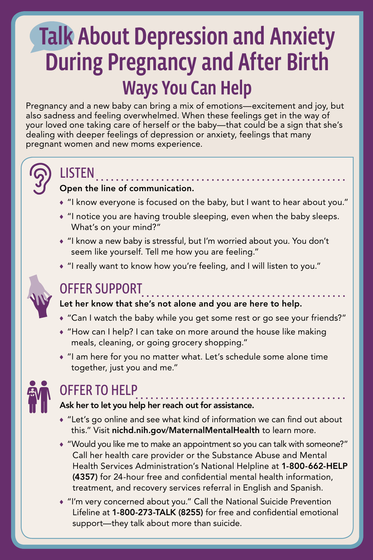# Talk About Depression and Anxiety During Pregnancy and After Birth Ways You Can Help

Pregnancy and a new baby can bring a mix of emotions—excitement and joy, but also sadness and feeling overwhelmed. When these feelings get in the way of your loved one taking care of herself or the baby—that could be a sign that she's dealing with deeper feelings of depression or anxiety, feelings that many pregnant women and new moms experience.

#### LISTEN . . . . . . . . . . . . . . . . .

#### Open the line of communication.

• "I know everyone is focused on the baby, but I want to hear about you."

- "I notice you are having trouble sleeping, even when the baby sleeps. What's on your mind?"
- ʊ "I know a new baby is stressful, but I'm worried about you. You don't seem like yourself. Tell me how you are feeling."
- ʊ "I really want to know how you're feeling, and I will listen to you."



## OFFER SUPPORT

Let her know that she's not alone and you are here to help.

- ʊ "Can I watch the baby while you get some rest or go see your friends?"
- "How can I help? I can take on more around the house like making meals, cleaning, or going grocery shopping."
- ʊ "I am here for you no matter what. Let's schedule some alone time together, just you and me."



# OFFER TO HELP

#### Ask her to let you help her reach out for assistance.

- "Let's go online and see what kind of information we can find out about this." Visit [nichd.nih.gov/MaternalMentalHealth](http://nichd.nih.gov/MaternalMentalHealth) to learn more.
- ʊ "Would you like me to make an appointment so you can talk with someone?" Call her health care provider or the Substance Abuse and Mental Health Services Administration's National Helpline at 1-800-662-HELP (4357) for 24-hour free and confidential mental health information, treatment, and recovery services referral in English and Spanish.
- ʊ "I'm very concerned about you." Call the National Suicide Prevention Lifeline at 1-800-273-TALK (8255) for free and confidential emotional support—they talk about more than suicide.